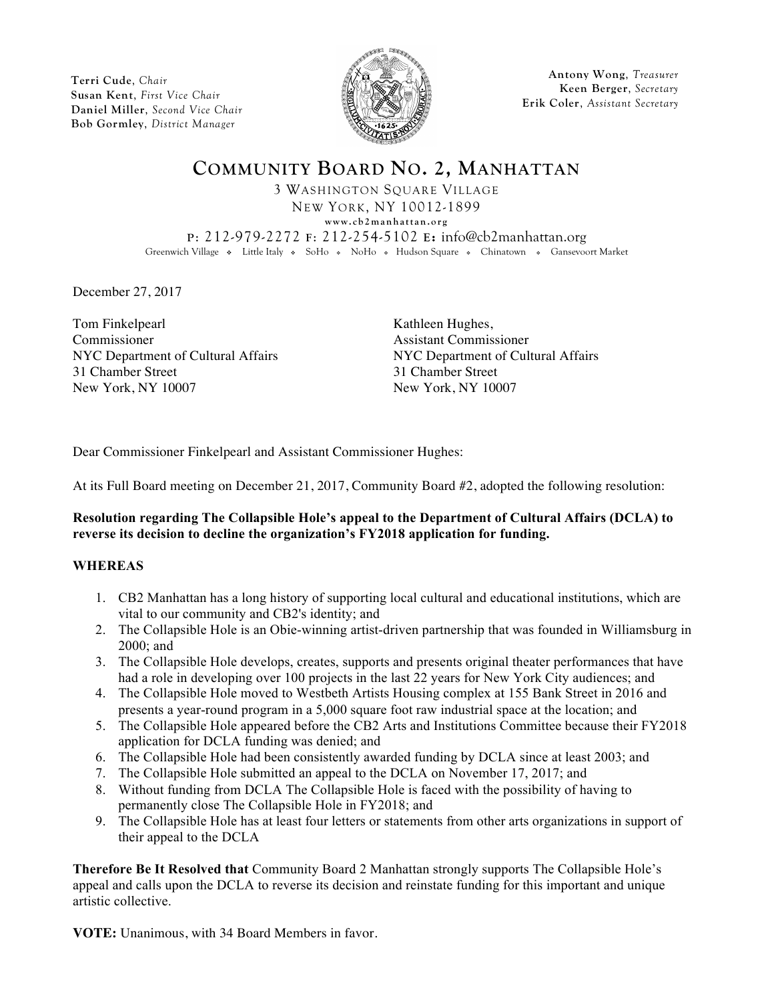**Terri Cude**, *Chair* **Susan Kent**, *First Vice Chair* **Daniel Miller**, *Second Vice Chair* **Bob Gormley**, *District Manager*



**Antony Wong**, *Treasurer* **Keen Berger**, *Secretary* **Erik Coler**, *Assistant Secretary*

**COMMUNITY BOARD NO. 2, MANHATTAN** 3 WASHINGTON SQUARE VILLAGE NEW YORK, NY 10012-1899 **www.cb2manhattan.org P**: 212-979-2272 **F**: 212-254-5102 **E:** info@cb2manhattan.org Greenwich Village • Little Italy • SoHo • NoHo • Hudson Square • Chinatown • Gansevoort Market

December 27, 2017

Tom Finkelpearl Commissioner 31 Chamber Street 31 Chamber Street New York, NY 10007 New York, NY 10007

Kathleen Hughes, Assistant Commissioner NYC Department of Cultural Affairs NYC Department of Cultural Affairs

Dear Commissioner Finkelpearl and Assistant Commissioner Hughes:

At its Full Board meeting on December 21, 2017, Community Board #2, adopted the following resolution:

## **Resolution regarding The Collapsible Hole's appeal to the Department of Cultural Affairs (DCLA) to reverse its decision to decline the organization's FY2018 application for funding.**

## **WHEREAS**

- 1. CB2 Manhattan has a long history of supporting local cultural and educational institutions, which are vital to our community and CB2's identity; and
- 2. The Collapsible Hole is an Obie-winning artist-driven partnership that was founded in Williamsburg in 2000; and
- 3. The Collapsible Hole develops, creates, supports and presents original theater performances that have had a role in developing over 100 projects in the last 22 years for New York City audiences; and
- 4. The Collapsible Hole moved to Westbeth Artists Housing complex at 155 Bank Street in 2016 and presents a year-round program in a 5,000 square foot raw industrial space at the location; and
- 5. The Collapsible Hole appeared before the CB2 Arts and Institutions Committee because their FY2018 application for DCLA funding was denied; and
- 6. The Collapsible Hole had been consistently awarded funding by DCLA since at least 2003; and
- 7. The Collapsible Hole submitted an appeal to the DCLA on November 17, 2017; and
- 8. Without funding from DCLA The Collapsible Hole is faced with the possibility of having to permanently close The Collapsible Hole in FY2018; and
- 9. The Collapsible Hole has at least four letters or statements from other arts organizations in support of their appeal to the DCLA

**Therefore Be It Resolved that** Community Board 2 Manhattan strongly supports The Collapsible Hole's appeal and calls upon the DCLA to reverse its decision and reinstate funding for this important and unique artistic collective.

**VOTE:** Unanimous, with 34 Board Members in favor.